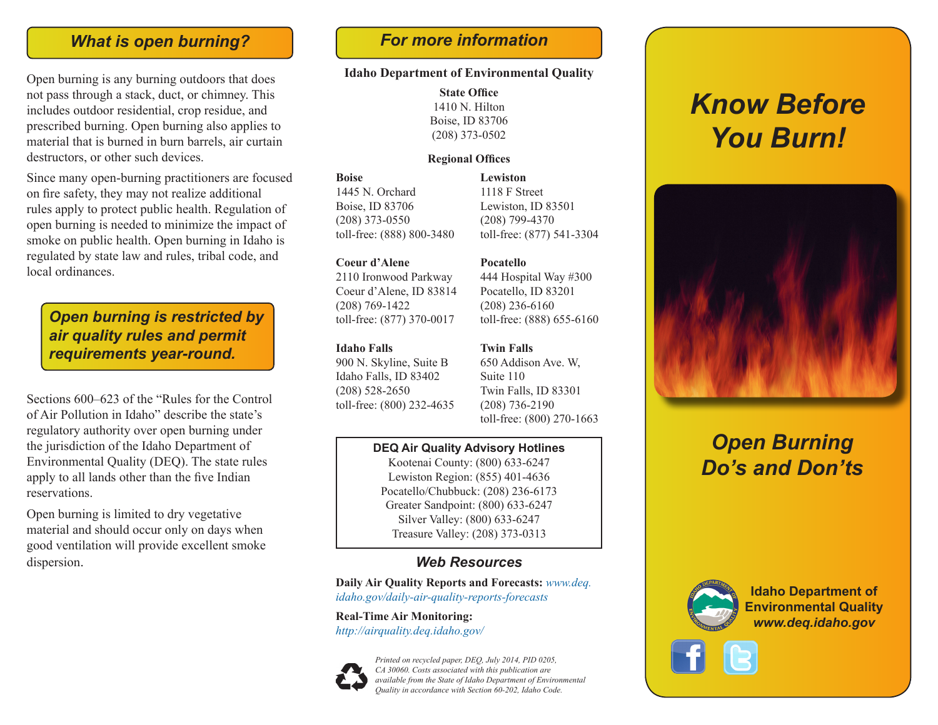# *What is open burning? For more information*

Open burning is any burning outdoors that does not pass through a stack, duct, or chimney. This includes outdoor residential, crop residue, and prescribed burning. Open burning also applies to material that is burned in burn barrels, air curtain destructors, or other such devices.

Since many open-burning practitioners are focused on fire safety, they may not realize additional rules apply to protect public health. Regulation of open burning is needed to minimize the impact of smoke on public health. Open burning in Idaho is regulated by state law and rules, tribal code, and local ordinances.

*Open burning is restricted by air quality rules and permit requirements year-round.*

Sections 600–623 of the "Rules for the Control of Air Pollution in Idaho" describe the state's regulatory authority over open burning under the jurisdiction of the Idaho Department of Environmental Quality (DEQ). The state rules apply to all lands other than the five Indian reservations.

Open burning is limited to dry vegetative material and should occur only on days when good ventilation will provide excellent smoke dispersion.

#### **Idaho Department of Environmental Quality**

**State Office** 1410 N. Hilton Boise, ID 83706 (208) 373-0502

#### **Regional Offices**

**Boise**  1445 N. Orchard Boise, ID 83706 (208) 373-0550 toll-free: (888) 800-3480

#### **Coeur d'Alene**

2110 Ironwood Parkway Coeur d'Alene, ID 83814 (208) 769-1422 toll-free: (877) 370-0017

#### **Idaho Falls**

900 N. Skyline, Suite B Idaho Falls, ID 83402 (208) 528-2650 toll-free: (800) 232-4635

### **Lewiston** 1118 F Street Lewiston, ID 83501

(208) 799-4370 toll-free: (877) 541-3304

#### **Pocatello**

444 Hospital Way #300 Pocatello, ID 83201 (208) 236-6160 toll-free: (888) 655-6160

#### **Twin Falls**

650 Addison Ave. W, Suite 110 Twin Falls, ID 83301 (208) 736-2190 toll-free: (800) 270-1663

### **DEQ Air Quality Advisory Hotlines**

Kootenai County: (800) 633-6247 Lewiston Region: (855) 401-4636 Pocatello/Chubbuck: (208) 236-6173 Greater Sandpoint: (800) 633-6247 Silver Valley: (800) 633-6247 Treasure Valley: (208) 373-0313

### *Web Resources*

**Daily Air Quality Reports and Forecasts:** *www.deq. idaho.gov/daily-air-quality-reports-forecasts*

**Real-Time Air Monitoring:**  *http://airquality.deq.idaho.gov/*



*Printed on recycled paper, DEQ, July 2014, PID 0205, CA 30060. Costs associated with this publication are available from the State of Idaho Department of Environmental Quality in accordance with Section 60-202, Idaho Code.*

# *Know Before You Burn!*



# *Open Burning Do's and Don'ts*



**Idaho Department of Environmental Quality** *www.deq.idaho.gov*